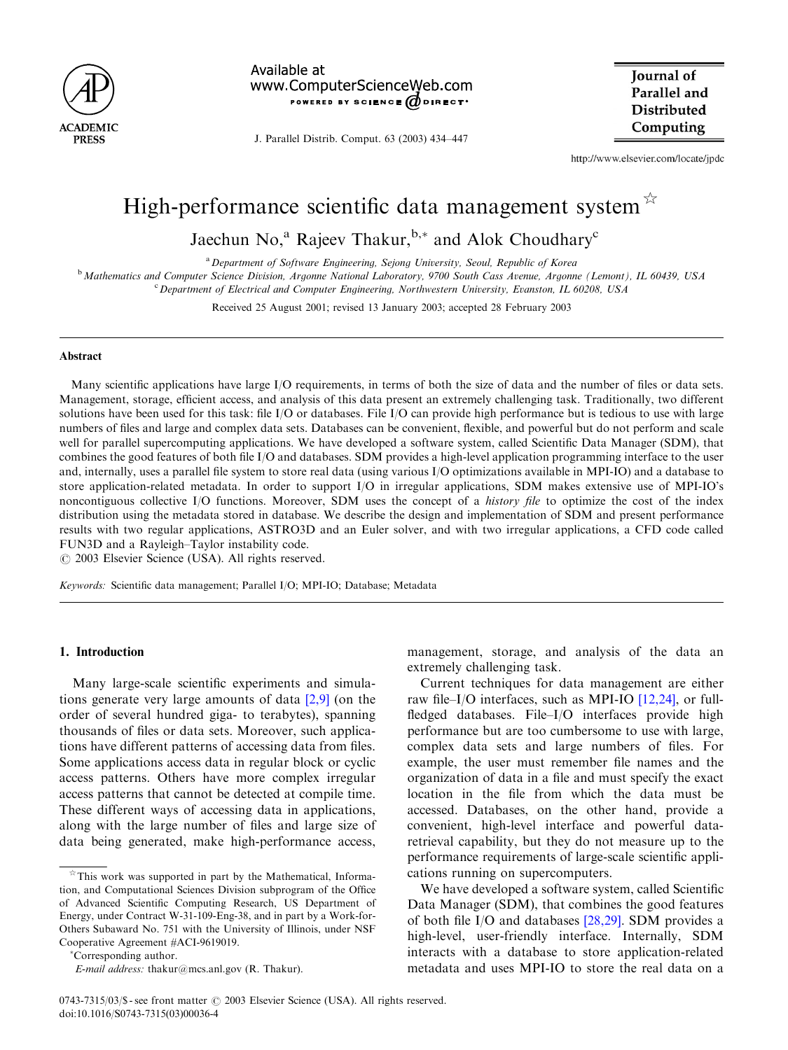

## Available at www.ComputerScienceWeb.com POWERED BY SCIENCE  $\bm{\theta}$  direct.

**Journal of** Parallel and **Distributed** Computing

J. Parallel Distrib. Comput. 63 (2003) 434–447

http://www.elsevier.com/locate/jpdc

# High-performance scientific data management system  $\overrightarrow{r}$

Jaechun No.<sup>a</sup> Rajeev Thakur,  $b^*$  and Alok Choudhary<sup>c</sup>

<sup>a</sup> Department of Software Engineering, Sejong University, Seoul, Republic of Korea

<sup>b</sup> Mathematics and Computer Science Division, Argonne National Laboratory, 9700 South Cass Avenue, Argonne (Lemont), IL 60439, USA <sup>c</sup> Department of Electrical and Computer Engineering, Northwestern University, Evanston, IL 60208, USA

Received 25 August 2001; revised 13 January 2003; accepted 28 February 2003

#### Abstract

Many scientific applications have large I/O requirements, in terms of both the size of data and the number of files or data sets. Management, storage, efficient access, and analysis of this data present an extremely challenging task. Traditionally, two different solutions have been used for this task: file I/O or databases. File I/O can provide high performance but is tedious to use with large numbers of files and large and complex data sets. Databases can be convenient, flexible, and powerful but do not perform and scale well for parallel supercomputing applications. We have developed a software system, called Scientific Data Manager (SDM), that combines the good features of both file I/O and databases. SDM provides a high-level application programming interface to the user and, internally, uses a parallel file system to store real data (using various I/O optimizations available in MPI-IO) and a database to store application-related metadata. In order to support I/O in irregular applications, SDM makes extensive use of MPI-IO's noncontiguous collective I/O functions. Moreover, SDM uses the concept of a *history file* to optimize the cost of the index distribution using the metadata stored in database. We describe the design and implementation of SDM and present performance results with two regular applications, ASTRO3D and an Euler solver, and with two irregular applications, a CFD code called FUN3D and a Rayleigh–Taylor instability code.

 $\odot$  2003 Elsevier Science (USA). All rights reserved.

Keywords: Scientific data management; Parallel I/O; MPI-IO; Database; Metadata

## 1. Introduction

Many large-scale scientific experiments and simulations generate very large amounts of data  $[2,9]$  (on the order of several hundred giga- to terabytes), spanning thousands of files or data sets. Moreover, such applications have different patterns of accessing data from files. Some applications access data in regular block or cyclic access patterns. Others have more complex irregular access patterns that cannot be detected at compile time. These different ways of accessing data in applications, along with the large number of files and large size of data being generated, make high-performance access,

Corresponding author.

management, storage, and analysis of the data an extremely challenging task.

Current techniques for data management are either raw file–I/O interfaces, such as MPI-IO [\[12,24\],](#page-12-0) or fullfledged databases. File–I/O interfaces provide high performance but are too cumbersome to use with large, complex data sets and large numbers of files. For example, the user must remember file names and the organization of data in a file and must specify the exact location in the file from which the data must be accessed. Databases, on the other hand, provide a convenient, high-level interface and powerful dataretrieval capability, but they do not measure up to the performance requirements of large-scale scientific applications running on supercomputers.

We have developed a software system, called Scientific Data Manager (SDM), that combines the good features of both file I/O and databases [\[28,29\]](#page-13-0). SDM provides a high-level, user-friendly interface. Internally, SDM interacts with a database to store application-related metadata and uses MPI-IO to store the real data on a

 $*$ This work was supported in part by the Mathematical, Information, and Computational Sciences Division subprogram of the Office of Advanced Scientific Computing Research, US Department of Energy, under Contract W-31-109-Eng-38, and in part by a Work-for-Others Subaward No. 751 with the University of Illinois, under NSF Cooperative Agreement #ACI-9619019.

E-mail address: thakur@mcs.anl.gov (R. Thakur).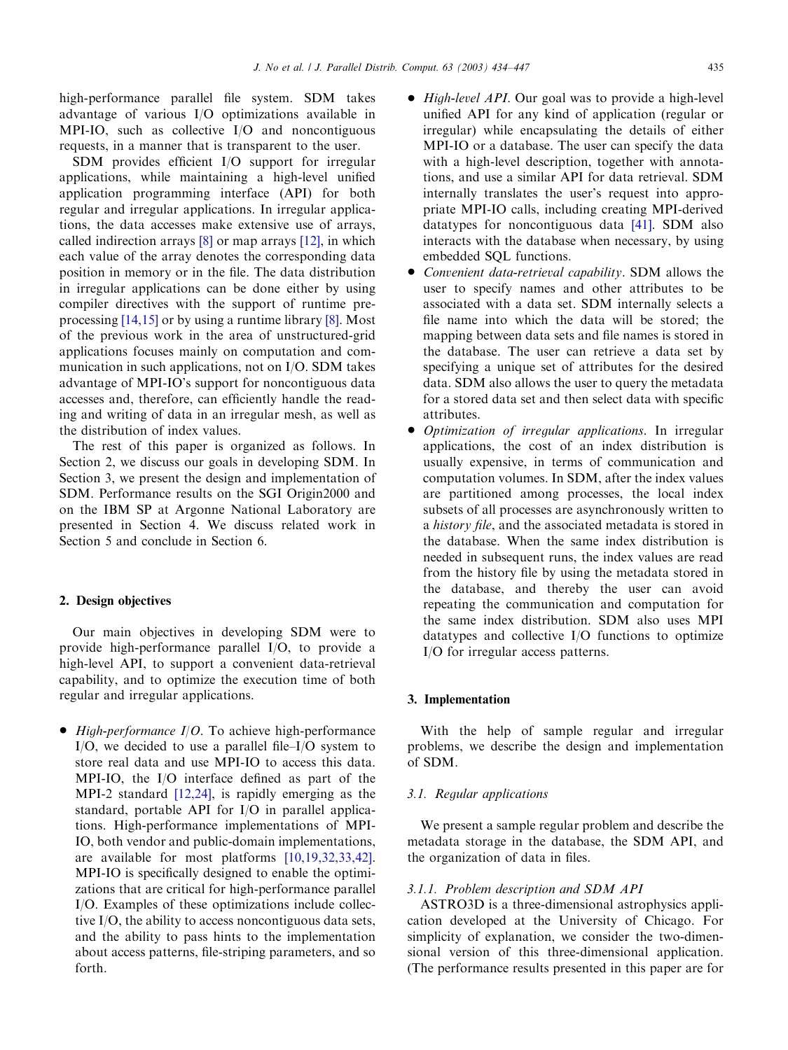high-performance parallel file system. SDM takes advantage of various I/O optimizations available in MPI-IO, such as collective I/O and noncontiguous requests, in a manner that is transparent to the user.

SDM provides efficient I/O support for irregular applications, while maintaining a high-level unified application programming interface (API) for both regular and irregular applications. In irregular applications, the data accesses make extensive use of arrays, called indirection arrays  $\sqrt{8}$  or map arrays  $\sqrt{12}$ , in which each value of the array denotes the corresponding data position in memory or in the file. The data distribution in irregular applications can be done either by using compiler directives with the support of runtime preprocessing  $[14,15]$  or by using a runtime library  $[8]$ . Most of the previous work in the area of unstructured-grid applications focuses mainly on computation and communication in such applications, not on I/O. SDM takes advantage of MPI-IO's support for noncontiguous data accesses and, therefore, can efficiently handle the reading and writing of data in an irregular mesh, as well as the distribution of index values.

The rest of this paper is organized as follows. In Section 2, we discuss our goals in developing SDM. In Section 3, we present the design and implementation of SDM. Performance results on the SGI Origin2000 and onthe IBM SP at Argonne National Laboratory are presented in Section 4. We discuss related work in Section 5 and conclude in Section 6.

## 2. Design objectives

Our main objectives in developing SDM were to provide high-performance parallel I/O, to provide a high-level API, to support a convenient data-retrieval capability, and to optimize the execution time of both regular and irregular applications.

• High-performance  $I/O$ . To achieve high-performance I/O, we decided to use a parallel file–I/O system to store real data and use MPI-IO to access this data. MPI-IO, the I/O interface defined as part of the MPI-2 standard [\[12,24\],](#page-12-0) is rapidly emerging as the standard, portable API for I/O in parallel applications. High-performance implementations of MPI-IO, both vendor and public-domain implementations, are available for most platforms [\[10,19,32,33,42\]](#page-12-0). MPI-IO is specifically designed to enable the optimizations that are critical for high-performance parallel I/O. Examples of these optimizations include collective I/O, the ability to access noncontiguous data sets, and the ability to pass hints to the implementation about access patterns, file-striping parameters, and so forth.

- $\bullet$  High-level API. Our goal was to provide a high-level unified API for any kind of application (regular or irregular) while encapsulating the details of either MPI-IO or a database. The user can specify the data with a high-level description, together with annotations, and use a similar API for data retrieval. SDM internally translates the user's request into appropriate MPI-IO calls, including creating MPI-derived datatypes for noncontiguous data [\[41\].](#page-13-0) SDM also interacts with the database when necessary, by using embedded SQL functions.
- Convenient data-retrieval capability. SDM allows the user to specify names and other attributes to be associated with a data set. SDM internally selects a file name into which the data will be stored; the mapping between data sets and file names is stored in the database. The user can retrieve a data set by specifying a unique set of attributes for the desired data. SDM also allows the user to query the metadata for a stored data set and then select data with specific attributes.
- Optimization of irregular applications. In irregular applications, the cost of an index distribution is usually expensive, in terms of communication and computation volumes. In SDM, after the index values are partitioned among processes, the local index subsets of all processes are asynchronously written to a history file, and the associated metadata is stored in the database. When the same index distribution is needed in subsequent runs, the index values are read from the history file by using the metadata stored in the database, and thereby the user can avoid repeating the communication and computation for the same index distribution. SDM also uses MPI datatypes and collective I/O functions to optimize I/O for irregular access patterns.

## 3. Implementation

With the help of sample regular and irregular problems, we describe the design and implementation of SDM.

### 3.1. Regular applications

We present a sample regular problem and describe the metadata storage in the database, the SDM API, and the organization of data in files.

## 3.1.1. Problem description and SDM API

ASTRO3D is a three-dimensional astrophysics application developed at the University of Chicago. For simplicity of explanation, we consider the two-dimensional version of this three-dimensional application. (The performance results presented in this paper are for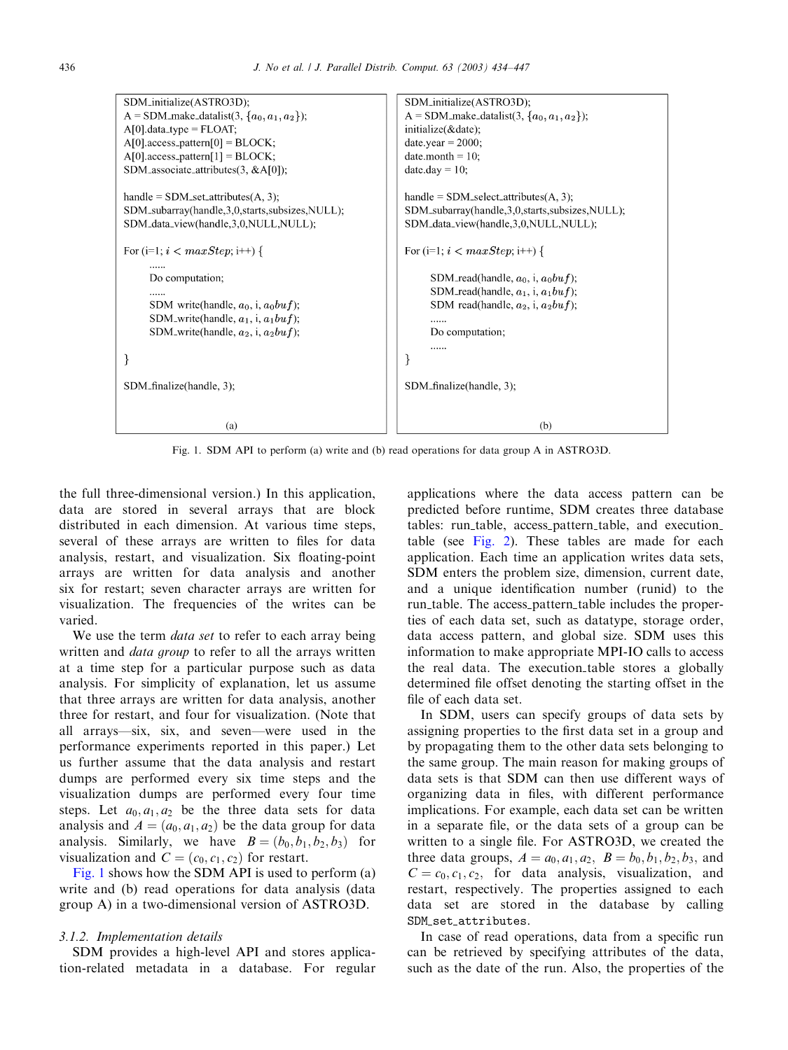```
SDM_initialize(ASTRO3D):
                                                               SDM_initialize(ASTRO3D);
A = SDM_make_datalist(3, \{a_0, a_1, a_2\});
                                                               A = SDM_make_datalist(3, \{a_0, a_1, a_2\});
A[0].data_type = FLOAT;
                                                               initialize(&date);
A[0].access_pattern[0] = BLOCK;
                                                               date.year = 2000;
A[0].access_pattern[1] = BLOCK;
                                                               date.month = 10;
SDM_associate_attributes(3, &A[0]);
                                                               date.day = 10;
handle = SDM_set_attributes(A, 3):
                                                               handle = SDM\_select\_attributes(A, 3):
SDM_subarray(handle,3,0,starts,subsizes,NULL);
                                                               SDM_subarray(handle,3,0,starts,subsizes,NULL);
SDM_data_view(handle,3,0,NULL,NULL);
                                                               SDM_data_view(handle,3,0,NULL,NULL);
For (i=1; i < maxStep; i++) {
                                                               For (i=1; i < maxStep; i++) {
      . . . . . .
                                                                     SDM_read(handle, a_0, i, a_0buf);
     Do computation;
                                                                     SDM_read(handle, a_1, i, a_1buf);
      SDM write(handle, a_0, i, a_0buf);
                                                                     SDM read(handle, a_2, i, a_2bu f);
      SDM_write(handle, a_1, i, a_1buf);
      SDM_write(handle, a_2, i, a_2buf);
                                                                     Do computation;
                                                                     . . . . . .
                                                               \mathcal{E}ł
SDM_finalize(handle, 3);
                                                               SDM_finalize(handle, 3);
                       \left( a\right)(b)
```
Fig. 1. SDM API to perform (a) write and (b) read operations for data group A in ASTRO3D.

the full three-dimensional version.) In this application, data are stored in several arrays that are block distributed in each dimension. At various time steps, several of these arrays are written to files for data analysis, restart, and visualization. Six floating-point arrays are written for data analysis and another six for restart; seven character arrays are written for visualization. The frequencies of the writes can be varied.

We use the term *data set* to refer to each array being written and *data group* to refer to all the arrays written at a time step for a particular purpose such as data analysis. For simplicity of explanation, let us assume that three arrays are written for data analysis, another three for restart, and four for visualization. (Note that all arrays—six, six, and seven—were used in the performance experiments reported in this paper.) Let us further assume that the data analysis and restart dumps are performed every six time steps and the visualization dumps are performed every four time steps. Let  $a_0, a_1, a_2$  be the three data sets for data analysis and  $A = (a_0, a_1, a_2)$  be the data group for data analysis. Similarly, we have  $B = (b_0, b_1, b_2, b_3)$  for visualization and  $C = (c_0, c_1, c_2)$  for restart.

Fig. 1 shows how the SDM API is used to perform (a) write and (b) read operations for data analysis (data group A) in a two-dimensional version of ASTRO3D.

## 3.1.2. Implementation details

SDM provides a high-level API and stores application-related metadata in a database. For regular applications where the data access pattern can be predicted before runtime, SDM creates three database tables: run\_table, access\_pattern\_table, and execution table (see [Fig. 2\)](#page-3-0). These tables are made for each application. Each time an application writes data sets, SDM enters the problem size, dimension, current date, and a unique identification number (runid) to the run table. The access pattern table includes the properties of each data set, such as datatype, storage order, data access pattern, and global size. SDM uses this information to make appropriate MPI-IO calls to access the real data. The execution table stores a globally determined file offset denoting the starting offset in the file of each data set.

In SDM, users can specify groups of data sets by assigning properties to the first data set in a group and by propagating them to the other data sets belonging to the same group. The main reason for making groups of data sets is that SDM can then use different ways of organizing data in files, with different performance implications. For example, each data set can be written in a separate file, or the data sets of a group can be written to a single file. For ASTRO3D, we created the three data groups,  $A = a_0, a_1, a_2, B = b_0, b_1, b_2, b_3$ , and  $C = c_0, c_1, c_2$ , for data analysis, visualization, and restart, respectively. The properties assigned to each data set are stored in the database by calling SDM set attributes.

In case of read operations, data from a specific run can be retrieved by specifying attributes of the data, such as the date of the run. Also, the properties of the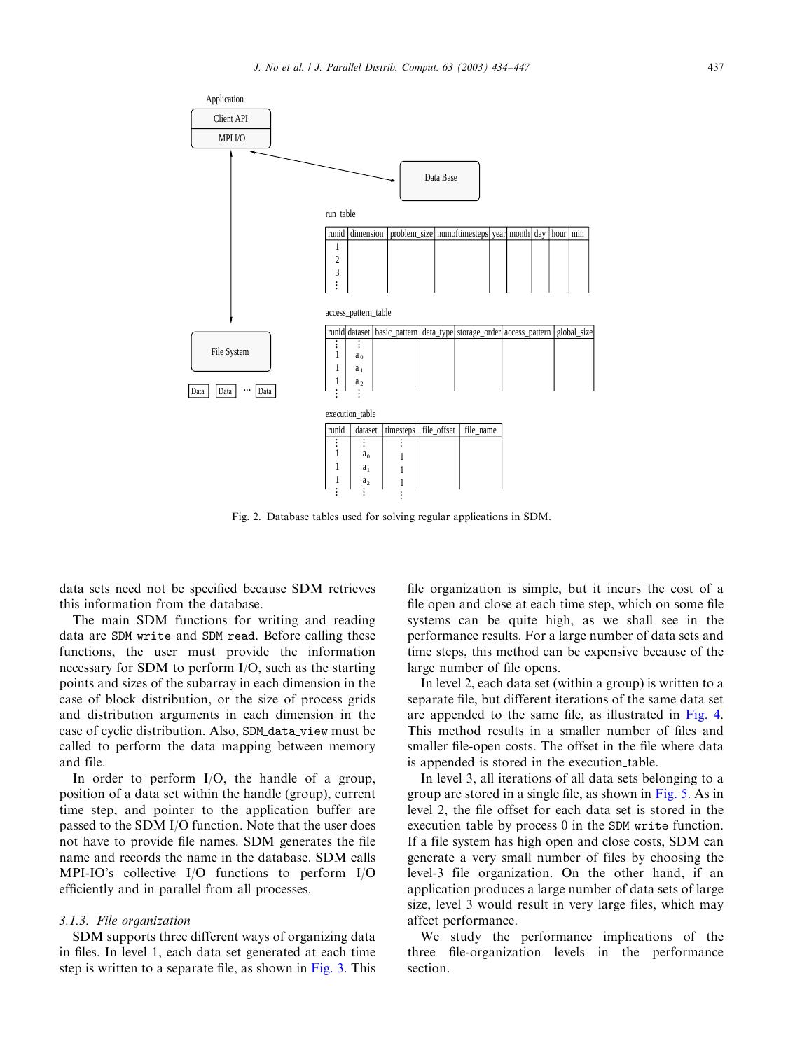<span id="page-3-0"></span>

Fig. 2. Database tables used for solving regular applications in SDM.

data sets need not be specified because SDM retrieves this information from the database.

The main SDM functions for writing and reading data are SDM\_write and SDM\_read. Before calling these functions, the user must provide the information necessary for SDM to perform I/O, such as the starting points and sizes of the subarray in each dimension in the case of block distribution, or the size of process grids and distribution arguments in each dimension in the case of cyclic distribution. Also, SDM data view must be called to perform the data mapping between memory and file.

In order to perform  $I/O$ , the handle of a group, position of a data set within the handle (group), current time step, and pointer to the application buffer are passed to the SDM I/O function. Note that the user does not have to provide file names. SDM generates the file name and records the name in the database. SDM calls MPI-IO's collective I/O functions to perform I/O efficiently and in parallel from all processes.

#### 3.1.3. File organization

SDM supports three different ways of organizing data in files. In level 1, each data set generated at each time step is written to a separate file, as shown in [Fig. 3.](#page-4-0) This file organization is simple, but it incurs the cost of a file open and close at each time step, which on some file systems can be quite high, as we shall see in the performance results. For a large number of data sets and time steps, this method canbe expensive because of the large number of file opens.

In level 2, each data set (within a group) is written to a separate file, but different iterations of the same data set are appended to the same file, as illustrated in [Fig. 4](#page-4-0). This method results in a smaller number of files and smaller file-open costs. The offset in the file where data is appended is stored in the execution table.

In level 3, all iterations of all data sets belonging to a group are stored in a single file, as shown in Fig.  $5.$  As in level 2, the file offset for each data set is stored in the execution table by process 0 in the SDM write function. If a file system has high openand close costs, SDM can generate a very small number of files by choosing the level-3 file organization. On the other hand, if an application produces a large number of data sets of large size, level 3 would result in very large files, which may affect performance.

We study the performance implications of the three file-organization levels in the performance section.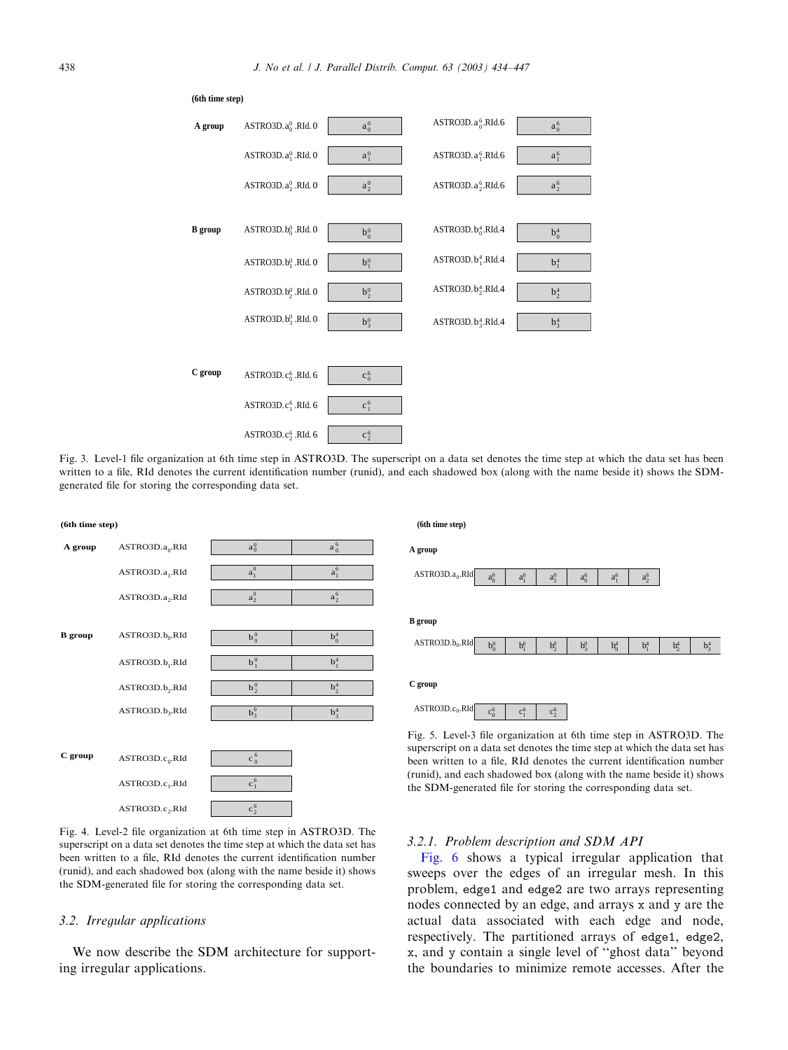<span id="page-4-0"></span>

Fig. 3. Level-1 file organization at 6th time step in ASTRO3D. The superscript on a data set denotes the time step at which the data set has been written to a file, RId denotes the current identification number (runid), and each shadowed box (along with the name beside it) shows the SDMgenerated file for storing the corresponding data set.



Fig. 4. Level-2 file organization at 6th time step in ASTRO3D. The superscript on a data set denotes the time step at which the data set has been written to a file, RId denotes the current identification number (runid), and each shadowed box (along with the name beside it) shows the SDM-generated file for storing the corresponding data set.

## 3.2. Irregular applications

We now describe the SDM architecture for supporting irregular applications.



superscript on a data set denotes the time step at which the data set has been written to a file, RId denotes the current identification number (runid), and each shadowed box (along with the name beside it) shows the SDM-generated file for storing the corresponding data set.

## 3.2.1. Problem description and SDM API

[Fig. 6](#page-5-0) shows a typical irregular application that sweeps over the edges of an irregular mesh. In this problem, edge1 and edge2 are two arrays representing nodes connected by an edge, and arrays x and y are the actual data associated with each edge and node, respectively. The partitioned arrays of edge1, edge2, x, and y contain a single level of "ghost data" beyond the boundaries to minimize remote accesses. After the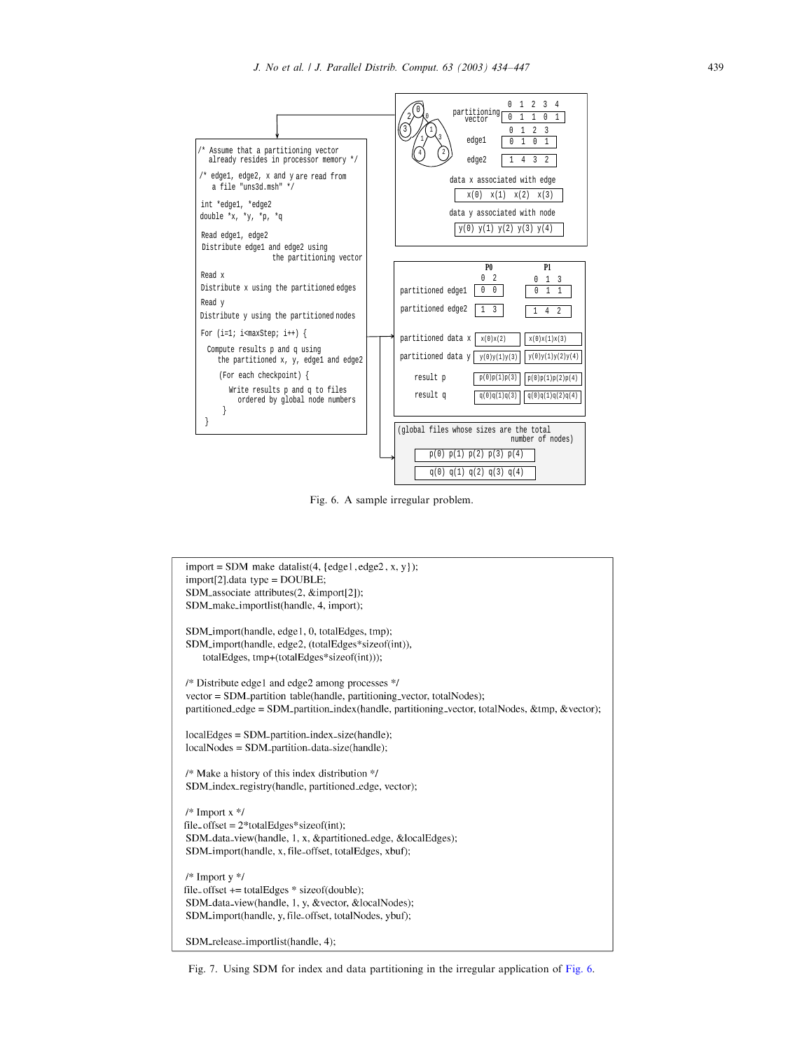<span id="page-5-0"></span>

Fig. 6. A sample irregular problem.



Fig. 7. Using SDM for index and data partitioning in the irregular application of Fig. 6.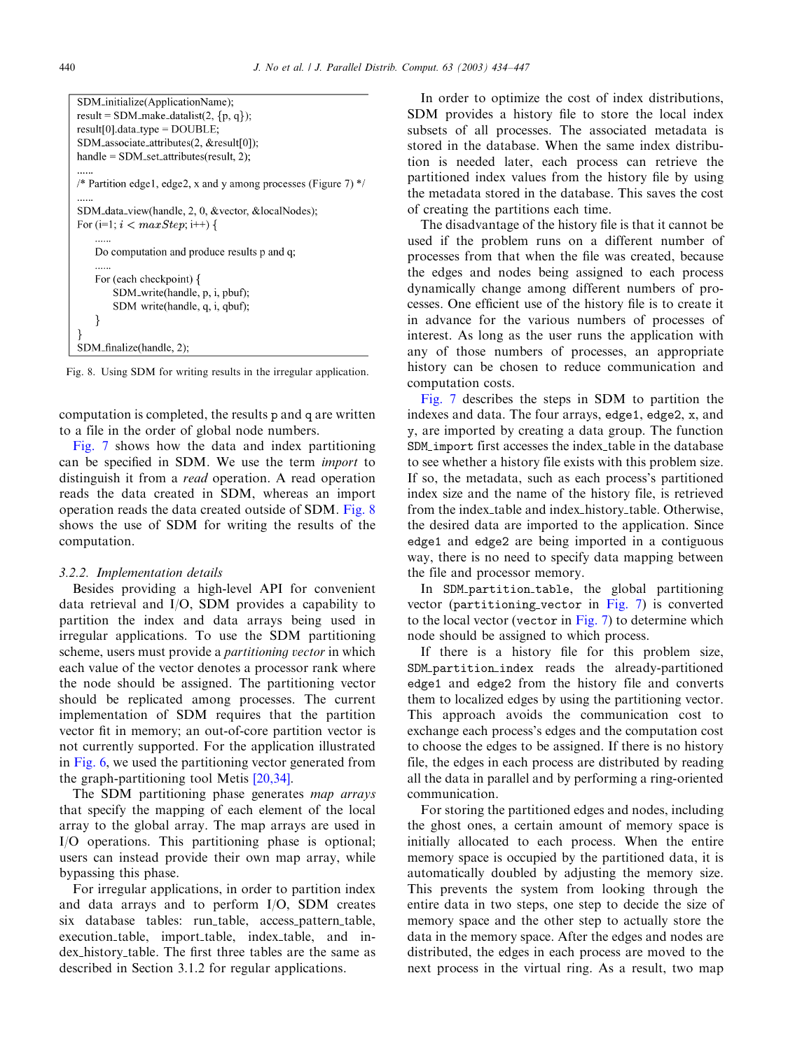<span id="page-6-0"></span>SDM\_initialize(ApplicationName); result = SDM\_make\_datalist(2,  $\{p, q\}$ );  $result[0].data_type = DOUBLE;$ SDM\_associate\_attributes(2, &result[0]);  $handle = SDM_set_attribute(s$ (result, 2); /\* Partition edge1, edge2, x and y among processes (Figure 7) \*/ SDM\_data\_view(handle, 2, 0, &vector, &localNodes); For (i=1;  $i < maxStep$ ; i++) { Do computation and produce results p and q; For (each checkpoint) { SDM\_write(handle, p, i, pbuf); SDM write(handle, q, i, qbuf); } SDM\_finalize(handle, 2);

Fig. 8. Using SDM for writing results in the irregular application.

computation is completed, the results  $p$  and  $q$  are written to a file in the order of global node numbers.

[Fig. 7](#page-5-0) shows how the data and index partitioning can be specified in SDM. We use the term import to distinguish it from a read operation. A read operation reads the data created in SDM, whereas an import operation reads the data created outside of SDM. Fig. 8 shows the use of SDM for writing the results of the computation.

## 3.2.2. Implementation details

Besides providing a high-level API for convenient data retrieval and I/O, SDM provides a capability to partition the index and data arrays being used in irregular applications. To use the SDM partitioning scheme, users must provide a *partitioning vector* in which each value of the vector denotes a processor rank where the node should be assigned. The partitioning vector should be replicated among processes. The current implementation of SDM requires that the partition vector fit in memory; an out-of-core partition vector is not currently supported. For the application illustrated in [Fig. 6](#page-5-0), we used the partitioning vector generated from the graph-partitioning tool Metis [\[20,34\]](#page-12-0).

The SDM partitioning phase generates *map arrays* that specify the mapping of each element of the local array to the global array. The map arrays are used in I/O operations. This partitioning phase is optional; users can instead provide their own map array, while bypassing this phase.

For irregular applications, in order to partition index and data arrays and to perform I/O, SDM creates six database tables: run table, access pattern table, execution table, import table, index table, and index history table. The first three tables are the same as described in Section 3.1.2 for regular applications.

In order to optimize the cost of index distributions, SDM provides a history file to store the local index subsets of all processes. The associated metadata is stored in the database. When the same index distribution is needed later, each process can retrieve the partitioned index values from the history file by using the metadata stored in the database. This saves the cost of creating the partitions each time.

The disadvantage of the history file is that it cannot be used if the problem runs on a different number of processes from that when the file was created, because the edges and nodes being assigned to each process dynamically change among different numbers of processes. One efficient use of the history file is to create it in advance for the various numbers of processes of interest. As long as the user runs the application with any of those numbers of processes, an appropriate history can be chosen to reduce communication and computation costs.

Fig.  $7$  describes the steps in SDM to partition the indexes and data. The four arrays, edge1, edge2, x, and y, are imported by creating a data group. The function SDM\_import first accesses the index\_table in the database to see whether a history file exists with this problem size. If so, the metadata, such as each process's partitioned index size and the name of the history file, is retrieved from the index table and index history table. Otherwise, the desired data are imported to the application. Since edge1 and edge2 are being imported in a contiguous way, there is no need to specify data mapping between the file and processor memory.

In SDM partition table, the global partitioning vector (partitioning vector in [Fig. 7](#page-5-0)) is converted to the local vector (vector in [Fig. 7](#page-5-0)) to determine which node should be assigned to which process.

If there is a history file for this problem size, SDM partition index reads the already-partitioned edge1 and edge2 from the history file and converts them to localized edges by using the partitioning vector. This approach avoids the communication cost to exchange each process's edges and the computation cost to choose the edges to be assigned. If there is no history file, the edges in each process are distributed by reading all the data in parallel and by performing a ring-oriented communication.

For storing the partitioned edges and nodes, including the ghost ones, a certain amount of memory space is initially allocated to each process. When the entire memory space is occupied by the partitioned data, it is automatically doubled by adjusting the memory size. This prevents the system from looking through the entire data in two steps, one step to decide the size of memory space and the other step to actually store the data in the memory space. After the edges and nodes are distributed, the edges in each process are moved to the next process in the virtual ring. As a result, two map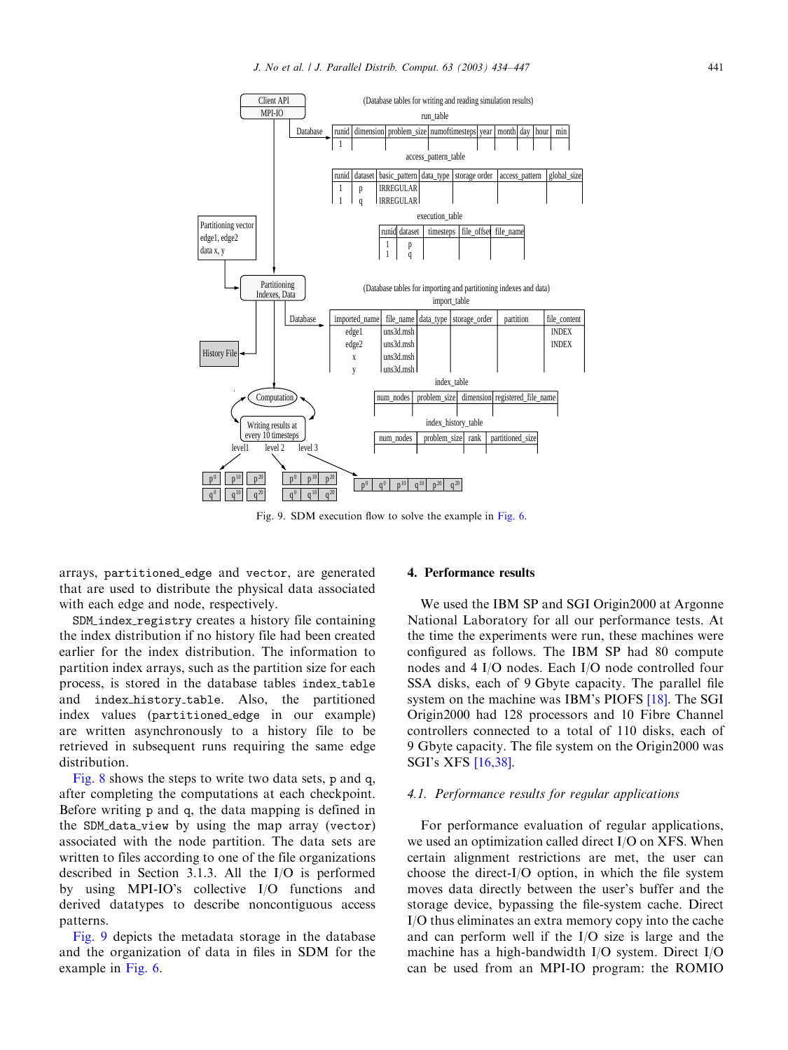

Fig. 9. SDM execution flow to solve the example in [Fig. 6](#page-5-0).

arrays, partitioned edge and vector, are generated that are used to distribute the physical data associated with each edge and node, respectively.

SDM index registry creates a history file containing the index distribution if no history file had been created earlier for the index distribution. The information to partition index arrays, such as the partition size for each process, is stored in the database tables index\_table and index history table. Also, the partitioned index values (partitioned\_edge in our example) are written asynchronously to a history file to be retrieved in subsequent runs requiring the same edge distribution.

[Fig. 8](#page-6-0) shows the steps to write two data sets, p and q, after completing the computations at each checkpoint. Before writing p and q, the data mapping is defined in the SDM data view by using the map array (vector) associated with the node partition. The data sets are written to files according to one of the file organizations described in Section 3.1.3. All the  $I/O$  is performed by using MPI-IO's collective I/O functions and derived datatypes to describe noncontiguous access patterns.

Fig. 9 depicts the metadata storage in the database and the organization of data in files in SDM for the example in [Fig. 6](#page-5-0).

## 4. Performance results

We used the IBM SP and SGI Origin2000 at Argonne National Laboratory for all our performance tests. At the time the experiments were run, these machines were configured as follows. The IBM SP had 80 compute nodes and 4 I/O nodes. Each I/O node controlled four SSA disks, each of 9 Gbyte capacity. The parallel file system on the machine was IBM's PIOFS [\[18\]](#page-12-0). The SGI Origin2000 had 128 processors and 10 Fibre Channel controllers connected to a total of 110 disks, each of 9 Gbyte capacity. The file system on the Origin2000 was SGI's XFS [\[16,38\].](#page-12-0)

#### 4.1. Performance results for regular applications

For performance evaluation of regular applications, we used an optimization called direct I/O on XFS. When certain alignment restrictions are met, the user can choose the direct-I/O option, in which the file system moves data directly between the user's buffer and the storage device, bypassing the file-system cache. Direct I/O thus eliminates an extra memory copy into the cache and can perform well if the I/O size is large and the machine has a high-bandwidth I/O system. Direct I/O canbe used from anMPI-IO program: the ROMIO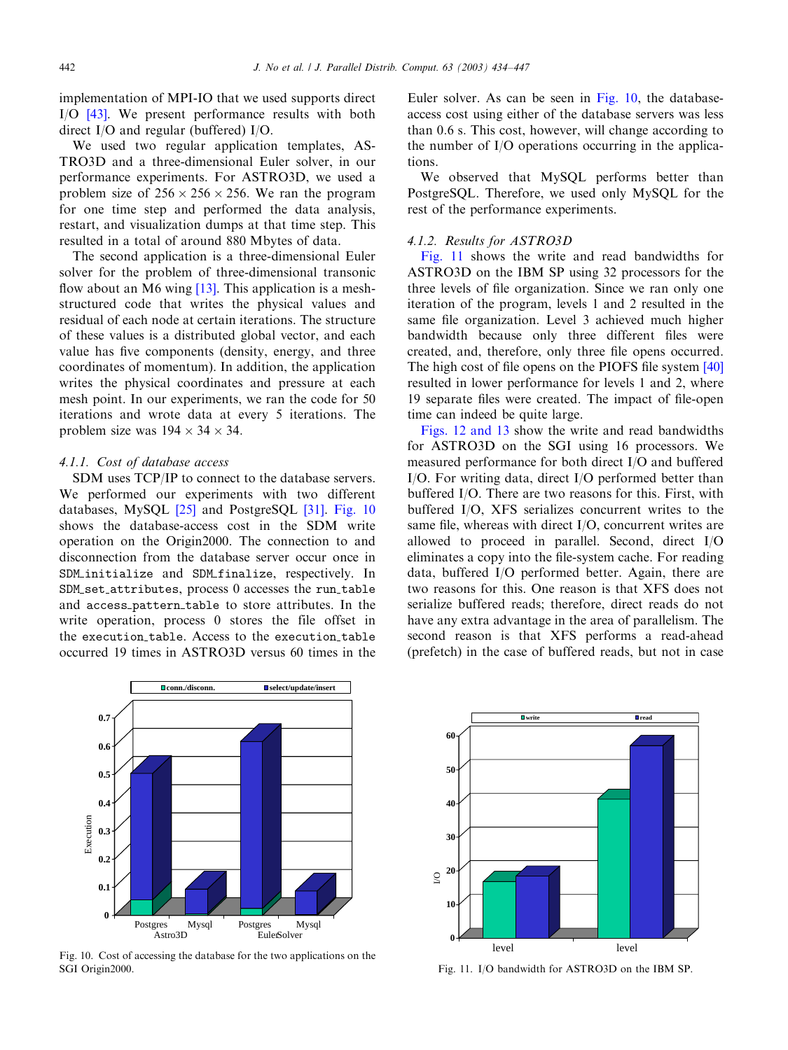implementation of MPI-IO that we used supports direct I/O [\[43\].](#page-13-0) We present performance results with both direct I/O and regular (buffered) I/O.

We used two regular application templates, AS-TRO3D and a three-dimensional Euler solver, in our performance experiments. For ASTRO3D, we used a problem size of  $256 \times 256 \times 256$ . We ran the program for one time step and performed the data analysis, restart, and visualization dumps at that time step. This resulted in a total of around 880 Mbytes of data.

The second application is a three-dimensional Euler solver for the problem of three-dimensional transonic flow about an M6 wing  $[13]$ . This application is a meshstructured code that writes the physical values and residual of each node at certain iterations. The structure of these values is a distributed global vector, and each value has five components (density, energy, and three coordinates of momentum). In addition, the application writes the physical coordinates and pressure at each mesh point. In our experiments, we ran the code for 50 iterations and wrote data at every 5 iterations. The problem size was  $194 \times 34 \times 34$ .

## 4.1.1. Cost of database access

SDM uses TCP/IP to connect to the database servers. We performed our experiments with two different databases, MySQL [\[25\]](#page-13-0) and PostgreSQL [\[31\]](#page-13-0). Fig. 10 shows the database-access cost in the SDM write operation on the Origin2000. The connection to and disconnection from the database server occur once in SDM initialize and SDM finalize, respectively. In SDM set attributes, process 0 accesses the run table and access\_pattern\_table to store attributes. In the write operation, process 0 stores the file offset in the execution table. Access to the execution table  $occurred 19 times in ASTRO3D versus 60 times in the$ 

Euler solver. As can be seen in Fig. 10, the databaseaccess cost using either of the database servers was less than 0.6 s. This cost, however, will change according to the number of I/O operations occurring in the applications.

We observed that MySQL performs better than PostgreSQL. Therefore, we used only MySQL for the rest of the performance experiments.

## 4.1.2. Results for ASTRO3D

Fig. 11 shows the write and read bandwidths for ASTRO3D on the IBM SP using 32 processors for the three levels of file organization. Since we ran only one iteration of the program, levels 1 and 2 resulted in the same file organization. Level 3 achieved much higher bandwidth because only three different files were created, and, therefore, only three file opens occurred. The high cost of file opens on the PIOFS file system [\[40\]](#page-13-0) resulted in lower performance for levels 1 and 2, where 19 separate files were created. The impact of file-open time can indeed be quite large.

[Figs. 12 and 13](#page-9-0) show the write and read bandwidths for ASTRO3D on the SGI using 16 processors. We measured performance for both direct I/O and buffered I/O. For writing data, direct I/O performed better than buffered I/O. There are two reasons for this. First, with buffered I/O, XFS serializes concurrent writes to the same file, whereas with direct I/O, concurrent writes are allowed to proceed in parallel. Second, direct  $I/O$ eliminates a copy into the file-system cache. For reading data, buffered I/O performed better. Again, there are two reasons for this. One reason is that XFS does not serialize buffered reads; therefore, direct reads do not have any extra advantage in the area of parallelism. The second reason is that XFS performs a read-ahead (prefetch) in the case of buffered reads, but not in case



Fig. 10. Cost of accessing the database for the two applications on the SGI Origin2000.



Fig. 11. I/O bandwidth for ASTRO3D on the IBM SP.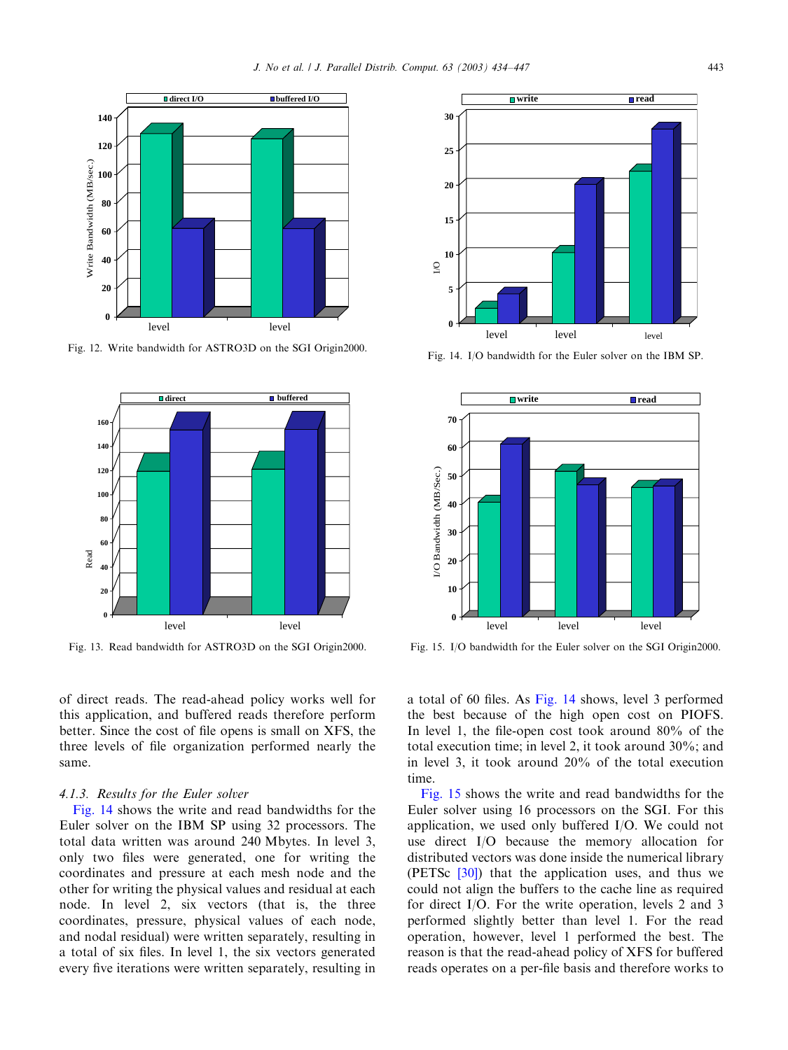<span id="page-9-0"></span>

Fig. 12. Write bandwidth for ASTRO3D on the SGI Origin2000.



Fig. 13. Read bandwidth for ASTRO3D on the SGI Origin2000.

of direct reads. The read-ahead policy works well for this application, and buffered reads therefore perform better. Since the cost of file opens is small on XFS, the three levels of file organization performed nearly the same.

#### 4.1.3. Results for the Euler solver

Fig. 14 shows the write and read bandwidths for the Euler solver onthe IBM SP using 32 processors. The total data written was around 240 Mbytes. In level 3, only two files were generated, one for writing the coordinates and pressure at each mesh node and the other for writing the physical values and residual at each node. In level 2, six vectors (that is, the three coordinates, pressure, physical values of each node, and nodal residual) were written separately, resulting in a total of six files. In level 1, the six vectors generated every five iterations were written separately, resulting in



Fig. 14. I/O bandwidth for the Euler solver on the IBM SP.



Fig. 15. I/O bandwidth for the Euler solver on the SGI Origin2000.

a total of 60 files. As Fig. 14 shows, level 3 performed the best because of the high open cost on PIOFS. In level 1, the file-open cost took around  $80\%$  of the total execution time; in level 2, it took around  $30\%$ ; and in level 3, it took around  $20\%$  of the total execution time.

Fig. 15 shows the write and read bandwidths for the Euler solver using 16 processors on the SGI. For this application, we used only buffered I/O. We could not use direct  $I/O$  because the memory allocation for distributed vectors was done inside the numerical library (PETSc  $[30]$ ) that the application uses, and thus we could not align the buffers to the cache line as required for direct I/O. For the write operation, levels 2 and 3 performed slightly better than level 1. For the read operation, however, level 1 performed the best. The reason is that the read-ahead policy of XFS for buffered reads operates on a per-file basis and therefore works to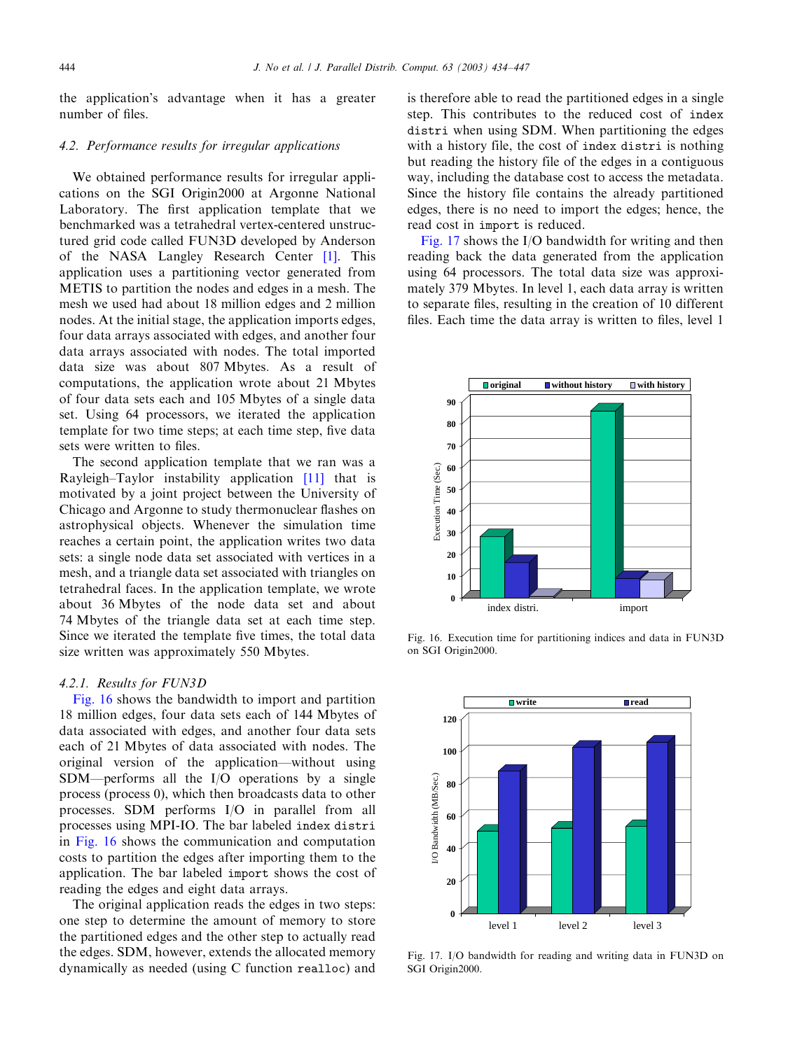the application's advantage when it has a greater number of files.

## 4.2. Performance results for irregular applications

We obtained performance results for irregular applications on the SGI Origin2000 at Argonne National Laboratory. The first application template that we benchmarked was a tetrahedral vertex-centered unstructured grid code called FUN3D developed by Anderson of the NASA Langley Research Center [\[1\].](#page-12-0) This application uses a partitioning vector generated from METIS to partition the nodes and edges in a mesh. The mesh we used had about 18 million edges and 2 million nodes. At the initial stage, the application imports edges, four data arrays associated with edges, and another four data arrays associated with nodes. The total imported data size was about 807 Mbytes: As a result of computations, the application wrote about 21 Mbytes of four data sets each and 105 Mbytes of a single data set. Using 64 processors, we iterated the application template for two time steps; at each time step, five data sets were written to files.

The second application template that we ran was a Rayleigh–Taylor instability application  $[11]$  that is motivated by a joint project between the University of Chicago and Argonne to study thermonuclear flashes on astrophysical objects. Whenever the simulation time reaches a certain point, the application writes two data sets: a single node data set associated with vertices in a mesh, and a triangle data set associated with triangles on tetrahedral faces. In the application template, we wrote about 36 Mbytes of the node data set and about 74 Mbytes of the triangle data set at each time step. Since we iterated the template five times, the total data size written was approximately 550 Mbytes.

## 4.2.1. Results for FUN3D

Fig. 16 shows the bandwidth to import and partition 18 million edges, four data sets each of 144 Mbytes of data associated with edges, and another four data sets each of 21 Mbytes of data associated with nodes. The original version of the application—without using SDM—performs all the I/O operations by a single process (process 0), which thenbroadcasts data to other processes. SDM performs I/O in parallel from all processes using MPI-IO. The bar labeled index distri in Fig. 16 shows the communication and computation costs to partition the edges after importing them to the application. The bar labeled import shows the cost of reading the edges and eight data arrays.

The original application reads the edges in two steps: one step to determine the amount of memory to store the partitioned edges and the other step to actually read the edges. SDM, however, extends the allocated memory dynamically as needed (using C function realloc) and is therefore able to read the partitioned edges in a single step. This contributes to the reduced cost of index distri when using SDM. When partitioning the edges with a history file, the cost of index distri is nothing but reading the history file of the edges in a contiguous way, including the database cost to access the metadata. Since the history file contains the already partitioned edges, there is no need to import the edges; hence, the read cost in import is reduced.

Fig. 17 shows the I/O bandwidth for writing and then reading back the data generated from the application using 64 processors. The total data size was approximately 379 Mbytes. In level 1, each data array is written to separate files, resulting in the creation of 10 different files. Each time the data array is written to files, level 1



Fig. 16. Execution time for partitioning indices and data in FUN3D on SGI Origin2000.



Fig. 17. I/O bandwidth for reading and writing data in FUN3D on SGI Origin2000.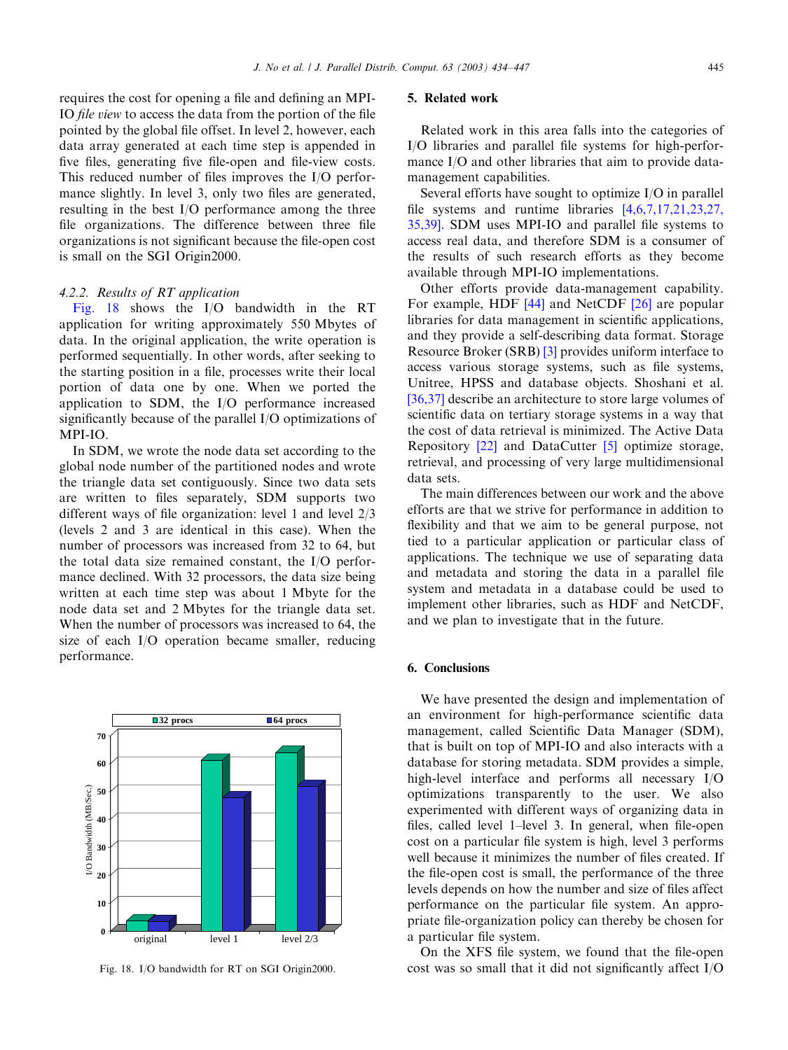requires the cost for opening a file and defining an MPI-IO *file view* to access the data from the portion of the file pointed by the global file offset. In level 2, however, each data array generated at each time step is appended in five files, generating five file-open and file-view costs. This reduced number of files improves the I/O performance slightly. In level 3, only two files are generated, resulting in the best I/O performance among the three file organizations. The difference between three file organizations is not significant because the file-open cost is small on the SGI Origin2000.

## 4.2.2. Results of RT application

Fig. 18 shows the I/O bandwidth in the RT application for writing approximately 550 Mbytes of data. In the original application, the write operation is performed sequentially. In other words, after seeking to the starting position in a file, processes write their local portion of data one by one. When we ported the application to SDM, the I/O performance increased significantly because of the parallel I/O optimizations of MPI-IO.

In SDM, we wrote the node data set according to the global node number of the partitioned nodes and wrote the triangle data set contiguously. Since two data sets are written to files separately, SDM supports two different ways of file organization: level 1 and level 2/3 (levels 2 and 3 are identical in this case). When the number of processors was increased from 32 to 64, but the total data size remained constant, the I/O performance declined. With 32 processors, the data size being written at each time step was about 1 Mbyte for the node data set and 2 Mbytes for the triangle data set. When the number of processors was increased to 64, the size of each  $I/O$  operation became smaller, reducing performance.

## **a** 32 procs **64 procs 70 60** I/O Bandwidth (MB/Sec.) I/O Bandwidth (MB/Sec.) **50 40 30 20 10**

Fig. 18. I/O bandwidth for RT on SGI Origin2000.

original level 1 level 2/3

**0**

## 5. Related work

Related work in this area falls into the categories of I/O libraries and parallel file systems for high-performance I/O and other libraries that aim to provide datamanagement capabilities.

Several efforts have sought to optimize  $I/O$  in parallel file systems and runtime libraries [\[4,6,7,17,21,23,27,](#page-12-0) [35,39\]](#page-12-0). SDM uses MPI-IO and parallel file systems to access real data, and therefore SDM is a consumer of the results of such research efforts as they become available through MPI-IO implementations.

Other efforts provide data-management capability. For example, HDF [\[44\]](#page-13-0) and NetCDF [\[26\]](#page-13-0) are popular libraries for data management in scientific applications, and they provide a self-describing data format. Storage Resource Broker (SRB) [\[3\]](#page-12-0) provides uniform interface to access various storage systems, such as file systems, Unitree, HPSS and database objects. Shoshani et al. [\[36,37\]](#page-13-0) describe an architecture to store large volumes of scientific data on tertiary storage systems in a way that the cost of data retrieval is minimized. The Active Data Repository [\[22\]](#page-12-0) and DataCutter [\[5\]](#page-12-0) optimize storage, retrieval, and processing of very large multidimensional data sets.

The main differences between our work and the above efforts are that we strive for performance in addition to flexibility and that we aim to be general purpose, not tied to a particular application or particular class of applications. The technique we use of separating data and metadata and storing the data in a parallel file system and metadata in a database could be used to implement other libraries, such as HDF and NetCDF, and we plan to investigate that in the future.

## 6. Conclusions

We have presented the design and implementation of an environment for high-performance scientific data management, called Scientific Data Manager (SDM), that is built on top of MPI-IO and also interacts with a database for storing metadata. SDM provides a simple, high-level interface and performs all necessary I/O optimizations transparently to the user. We also experimented with different ways of organizing data in files, called level  $1$ -level 3. In general, when file-open cost on a particular file system is high, level 3 performs well because it minimizes the number of files created. If the file-open cost is small, the performance of the three levels depends on how the number and size of files affect performance on the particular file system. An appropriate file-organization policy can thereby be chosen for a particular file system.

On the XFS file system, we found that the file-open cost was so small that it did not significantly affect I/O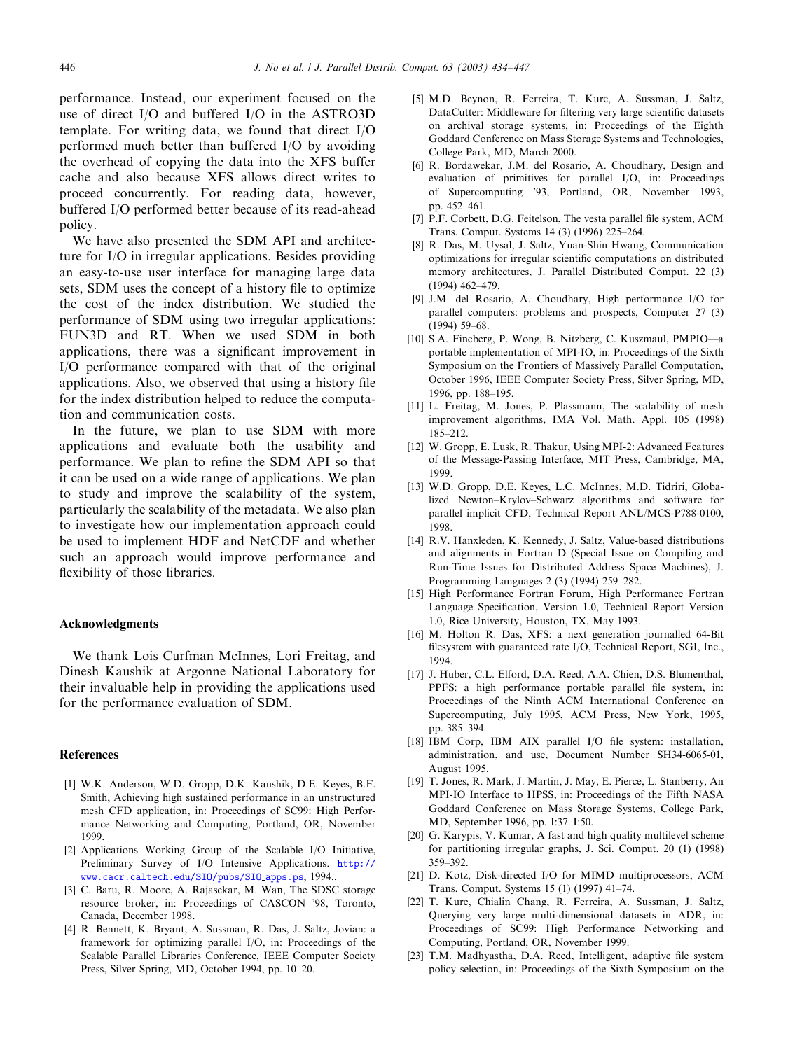<span id="page-12-0"></span>performance. Instead, our experiment focused on the use of direct I/O and buffered I/O in the ASTRO3D template. For writing data, we found that direct I/O performed much better than buffered  $I/O$  by avoiding the overhead of copying the data into the XFS buffer cache and also because XFS allows direct writes to proceed concurrently. For reading data, however, buffered I/O performed better because of its read-ahead policy.

We have also presented the SDM API and architecture for I/O in irregular applications. Besides providing an easy-to-use user interface for managing large data sets, SDM uses the concept of a history file to optimize the cost of the index distribution. We studied the performance of SDM using two irregular applications: FUN3D and RT. When we used SDM in both applications, there was a significant improvement in I/O performance compared with that of the original applications. Also, we observed that using a history file for the index distribution helped to reduce the computation and communication costs.

In the future, we plan to use SDM with more applications and evaluate both the usability and performance. We plan to refine the SDM API so that it can be used on a wide range of applications. We plan to study and improve the scalability of the system, particularly the scalability of the metadata. We also plan to investigate how our implementation approach could be used to implement HDF and NetCDF and whether such an approach would improve performance and flexibility of those libraries.

## Acknowledgments

We thank Lois Curfman McInnes, Lori Freitag, and Dinesh Kaushik at Argonne National Laboratory for their invaluable help in providing the applications used for the performance evaluation of SDM.

#### References

- [1] W.K. Anderson, W.D. Gropp, D.K. Kaushik, D.E. Keyes, B.F. Smith, Achieving high sustained performance in an unstructured mesh CFD application, in: Proceedings of SC99: High Performance Networking and Computing, Portland, OR, November 1999.
- [2] Applications Working Group of the Scalable I/O Initiative, Preliminary Survey of I/O Intensive Applications. [http://](*http://www.cacr.caltech.edu/SIO/pubs/SIO_apps.ps) [www.cacr.caltech.edu/SIO/pubs/SIO](*http://www.cacr.caltech.edu/SIO/pubs/SIO_apps.ps) [apps.ps](*http://www.cacr.caltech.edu/SIO/pubs/SIO_apps.ps), 1994..
- [3] C. Baru, R. Moore, A. Rajasekar, M. Wan, The SDSC storage resource broker, in: Proceedings of CASCON '98, Toronto, Canada, December 1998.
- [4] R. Bennett, K. Bryant, A. Sussman, R. Das, J. Saltz, Jovian: a framework for optimizing parallel I/O, in: Proceedings of the Scalable Parallel Libraries Conference, IEEE Computer Society Press, Silver Spring, MD, October 1994, pp. 10–20.
- [5] M.D. Beynon, R. Ferreira, T. Kurc, A. Sussman, J. Saltz, DataCutter: Middleware for filtering very large scientific datasets on archival storage systems, in: Proceedings of the Eighth Goddard Conference on Mass Storage Systems and Technologies, College Park, MD, March 2000.
- [6] R. Bordawekar, J.M. del Rosario, A. Choudhary, Design and evaluation of primitives for parallel I/O, in: Proceedings of Supercomputing '93, Portland, OR, November 1993, pp. 452–461.
- [7] P.F. Corbett, D.G. Feitelson, The vesta parallel file system, ACM Trans. Comput. Systems 14 (3) (1996) 225–264.
- [8] R. Das, M. Uysal, J. Saltz, Yuan-Shin Hwang, Communication optimizations for irregular scientific computations on distributed memory architectures, J. Parallel Distributed Comput. 22 (3) (1994) 462–479.
- [9] J.M. del Rosario, A. Choudhary, High performance I/O for parallel computers: problems and prospects, Computer 27 (3) (1994) 59–68.
- [10] S.A. Fineberg, P. Wong, B. Nitzberg, C. Kuszmaul, PMPIO—a portable implementation of MPI-IO, in: Proceedings of the Sixth Symposium on the Frontiers of Massively Parallel Computation, October 1996, IEEE Computer Society Press, Silver Spring, MD, 1996, pp. 188–195.
- [11] L. Freitag, M. Jones, P. Plassmann, The scalability of mesh improvement algorithms, IMA Vol. Math. Appl. 105 (1998) 185–212.
- [12] W. Gropp, E. Lusk, R. Thakur, Using MPI-2: Advanced Features of the Message-Passing Interface, MIT Press, Cambridge, MA, 1999.
- [13] W.D. Gropp, D.E. Keyes, L.C. McInnes, M.D. Tidriri, Globalized Newton–Krylov–Schwarz algorithms and software for parallel implicit CFD, Technical Report ANL/MCS-P788-0100, 1998.
- [14] R.V. Hanxleden, K. Kennedy, J. Saltz, Value-based distributions and alignments in Fortran D (Special Issue on Compiling and Run-Time Issues for Distributed Address Space Machines), J. Programming Languages 2 (3) (1994) 259–282.
- [15] High Performance Fortran Forum, High Performance Fortran Language Specification, Version 1.0, Technical Report Version 1.0, Rice University, Houston, TX, May 1993.
- [16] M. Holton R. Das, XFS: a next generation journalled 64-Bit filesystem with guaranteed rate I/O, Technical Report, SGI, Inc., 1994.
- [17] J. Huber, C.L. Elford, D.A. Reed, A.A. Chien, D.S. Blumenthal, PPFS: a high performance portable parallel file system, in: Proceedings of the Ninth ACM International Conference on Supercomputing, July 1995, ACM Press, New York, 1995, pp. 385–394.
- [18] IBM Corp, IBM AIX parallel I/O file system: installation, administration, and use, Document Number SH34-6065-01, August 1995.
- [19] T. Jones, R. Mark, J. Martin, J. May, E. Pierce, L. Stanberry, An MPI-IO Interface to HPSS, in: Proceedings of the Fifth NASA Goddard Conference on Mass Storage Systems, College Park, MD, September 1996, pp. I:37–I:50.
- [20] G. Karypis, V. Kumar, A fast and high quality multilevel scheme for partitioning irregular graphs, J. Sci. Comput. 20 (1) (1998) 359–392.
- [21] D. Kotz, Disk-directed I/O for MIMD multiprocessors, ACM Trans. Comput. Systems 15 (1) (1997) 41–74.
- [22] T. Kurc, Chialin Chang, R. Ferreira, A. Sussman, J. Saltz, Querying very large multi-dimensional datasets in ADR, in: Proceedings of SC99: High Performance Networking and Computing, Portland, OR, November 1999.
- [23] T.M. Madhyastha, D.A. Reed, Intelligent, adaptive file system policy selection, in: Proceedings of the Sixth Symposium on the